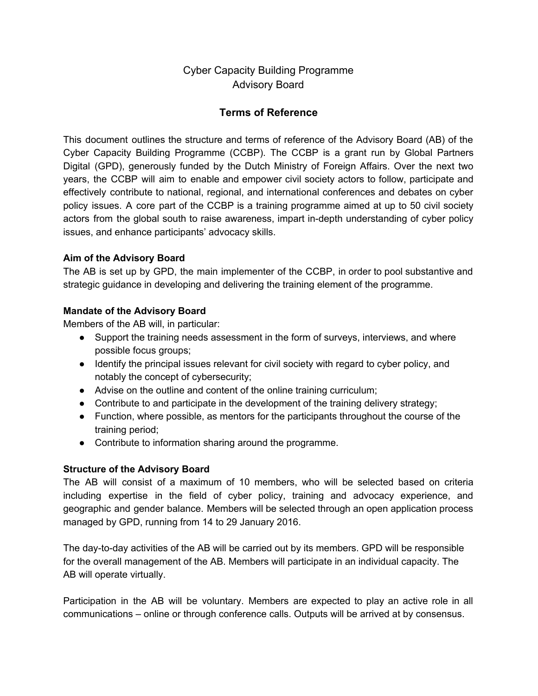Cyber Capacity Building Programme Advisory Board

## **Terms of Reference**

This document outlines the structure and terms of reference of the Advisory Board (AB) of the Cyber Capacity Building Programme (CCBP). The CCBP is a grant run by Global Partners Digital (GPD), generously funded by the Dutch Ministry of Foreign Affairs. Over the next two years, the CCBP will aim to enable and empower civil society actors to follow, participate and effectively contribute to national, regional, and international conferences and debates on cyber policy issues. A core part of the CCBP is a training programme aimed at up to 50 civil society actors from the global south to raise awareness, impart in-depth understanding of cyber policy issues, and enhance participants' advocacy skills.

### **Aim of the Advisory Board**

The AB is set up by GPD, the main implementer of the CCBP, in order to pool substantive and strategic guidance in developing and delivering the training element of the programme.

### **Mandate of the Advisory Board**

Members of the AB will, in particular:

- Support the training needs assessment in the form of surveys, interviews, and where possible focus groups;
- Identify the principal issues relevant for civil society with regard to cyber policy, and notably the concept of cybersecurity;
- Advise on the outline and content of the online training curriculum;
- Contribute to and participate in the development of the training delivery strategy;
- Function, where possible, as mentors for the participants throughout the course of the training period;
- Contribute to information sharing around the programme.

#### **Structure of the Advisory Board**

The AB will consist of a maximum of 10 members, who will be selected based on criteria including expertise in the field of cyber policy, training and advocacy experience, and geographic and gender balance. Members will be selected through an open application process managed by GPD, running from 14 to 29 January 2016.

The day-to-day activities of the AB will be carried out by its members. GPD will be responsible for the overall management of the AB. Members will participate in an individual capacity. The AB will operate virtually.

Participation in the AB will be voluntary. Members are expected to play an active role in all communications – online or through conference calls. Outputs will be arrived at by consensus.